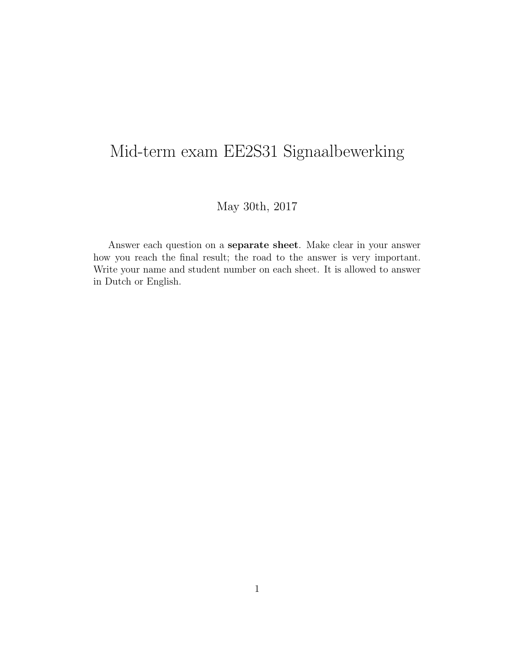## Mid-term exam EE2S31 Signaalbewerking

May 30th, 2017

Answer each question on a separate sheet. Make clear in your answer how you reach the final result; the road to the answer is very important. Write your name and student number on each sheet. It is allowed to answer in Dutch or English.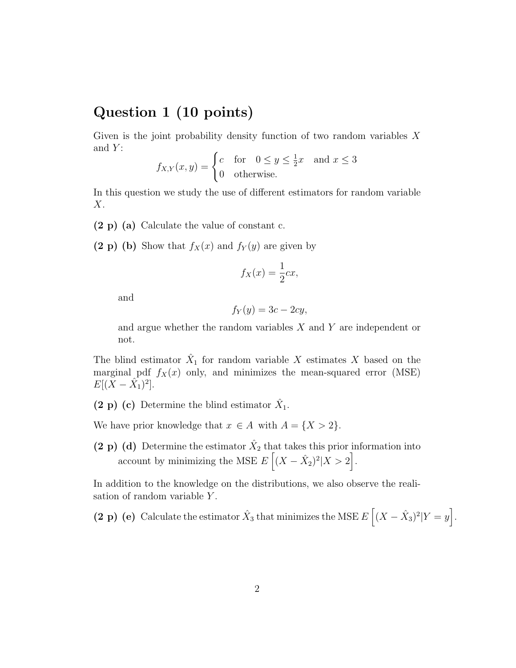## Question 1 (10 points)

Given is the joint probability density function of two random variables  $X$ and  $Y$ :

$$
f_{X,Y}(x,y) = \begin{cases} c & \text{for} \quad 0 \le y \le \frac{1}{2}x \quad \text{and } x \le 3\\ 0 & \text{otherwise.} \end{cases}
$$

In this question we study the use of different estimators for random variable  $X$ .

- (2 p) (a) Calculate the value of constant c.
- (2 p) (b) Show that  $f_X(x)$  and  $f_Y(y)$  are given by

$$
f_X(x) = \frac{1}{2}cx,
$$

and

$$
f_Y(y) = 3c - 2cy,
$$

and argue whether the random variables X and Y are independent or not.

The blind estimator  $\hat{X}_1$  for random variable X estimates X based on the marginal pdf  $f_X(x)$  only, and minimizes the mean-squared error (MSE)  $E[(X - \hat{X}_1)^2].$ 

(2 p) (c) Determine the blind estimator  $\hat{X}_1$ .

We have prior knowledge that  $x \in A$  with  $A = \{X > 2\}.$ 

(2 p) (d) Determine the estimator  $\hat{X}_2$  that takes this prior information into account by minimizing the MSE  $E\left[ (X - \hat{X}_2)^2 | X > 2 \right]$ .

In addition to the knowledge on the distributions, we also observe the realisation of random variable Y.

(2 p) (e) Calculate the estimator  $\hat{X}_3$  that minimizes the MSE  $E\left[ (X - \hat{X}_3)^2 | Y = y \right]$ .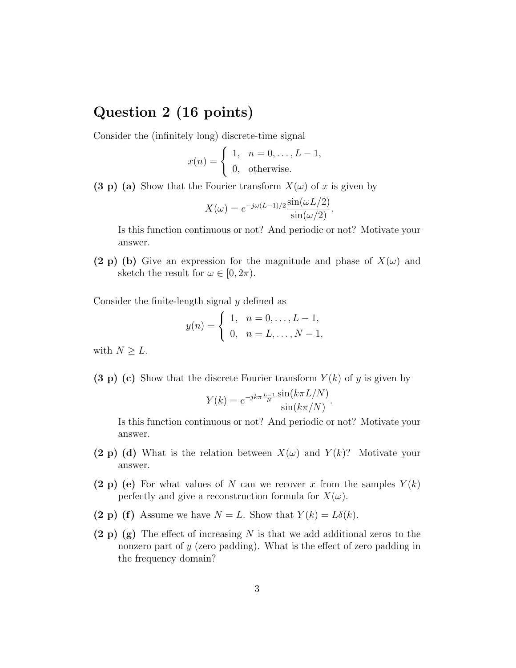## Question 2 (16 points)

Consider the (infinitely long) discrete-time signal

$$
x(n) = \begin{cases} 1, & n = 0, \dots, L - 1, \\ 0, & \text{otherwise.} \end{cases}
$$

(3 p) (a) Show that the Fourier transform  $X(\omega)$  of x is given by

$$
X(\omega) = e^{-j\omega(L-1)/2} \frac{\sin(\omega L/2)}{\sin(\omega/2)}.
$$

Is this function continuous or not? And periodic or not? Motivate your answer.

(2 p) (b) Give an expression for the magnitude and phase of  $X(\omega)$  and sketch the result for  $\omega \in [0, 2\pi)$ .

Consider the finite-length signal y defined as

$$
y(n) = \begin{cases} 1, & n = 0, \dots, L - 1, \\ 0, & n = L, \dots, N - 1, \end{cases}
$$

with  $N \geq L$ .

(3 p) (c) Show that the discrete Fourier transform  $Y(k)$  of y is given by

$$
Y(k) = e^{-jk\pi \frac{L-1}{N}} \frac{\sin(k\pi L/N)}{\sin(k\pi/N)}
$$

.

Is this function continuous or not? And periodic or not? Motivate your answer.

- (2 p) (d) What is the relation between  $X(\omega)$  and  $Y(k)$ ? Motivate your answer.
- (2 p) (e) For what values of N can we recover x from the samples  $Y(k)$ perfectly and give a reconstruction formula for  $X(\omega)$ .
- (2 p) (f) Assume we have  $N = L$ . Show that  $Y(k) = L\delta(k)$ .
- $(2 p)$  (g) The effect of increasing N is that we add additional zeros to the nonzero part of y (zero padding). What is the effect of zero padding in the frequency domain?